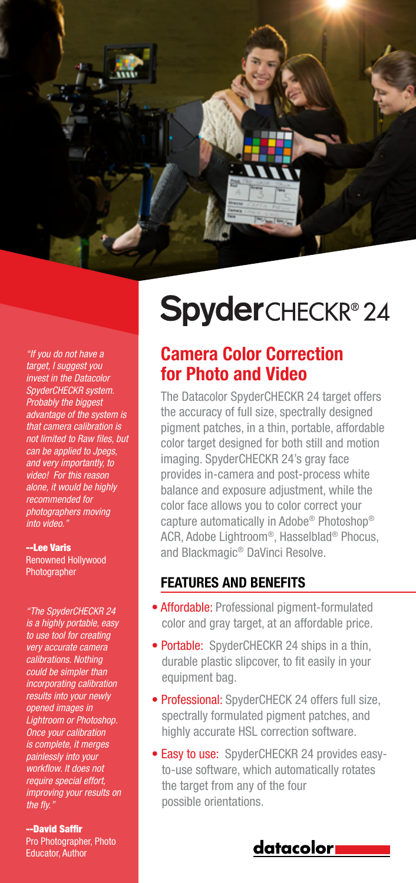

"If you do not have a target, I suggest you invest in the Datacolor SpyderCHECKR system. Probably the biggest advantage of the system is that camera calibration is not limited to Raw files, but can be applied to Jpegs, and very importantly, to video! For this reason alone, it would be highly recommended for photographers moving into video."

#### --Lee Varis

Renowned Hollywood Photographer

"The SpyderCHECKR 24 is a highly portable, easy to use tool for creating very accurate camera calibrations. Nothing could be simpler than incorporating calibration results into your newly opened images in Lightroom or Photoshop. Once your calibration is complete, it merges painlessly into your workflow. It does not require special effort, improving your results on the fly."

--David Saffir Pro Photographer, Photo Educator, Author

# **Spyder**CHECKR®24

## Camera Color Correction for Photo and Video

The Datacolor SpyderCHECKR 24 target offers the accuracy of full size, spectrally designed pigment patches, in a thin, portable, affordable color target designed for both still and motion imaging. SpyderCHECKR 24's gray face provides in-camera and post-process white balance and exposure adjustment, while the color face allows you to color correct your capture automatically in Adobe® Photoshop® ACR, Adobe Lightroom®, Hasselblad® Phocus, and Blackmagic® DaVinci Resolve.

#### FEATURES AND BENEFITS

- Affordable: Professional pigment-formulated color and gray target, at an affordable price.
- Portable: SpyderCHECKR 24 ships in a thin, durable plastic slipcover, to fit easily in your equipment bag.
- Professional: SpyderCHECK 24 offers full size, spectrally formulated pigment patches, and highly accurate HSL correction software.
- Easy to use: SpyderCHECKR 24 provides easyto-use software, which automatically rotates the target from any of the four possible orientations.